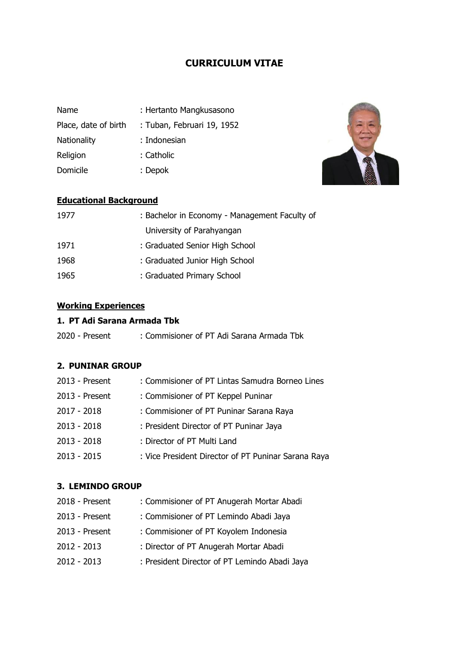## **CURRICULUM VITAE**

| <b>Name</b>          | : Hertanto Mangkusasono    |
|----------------------|----------------------------|
| Place, date of birth | : Tuban, Februari 19, 1952 |
| Nationality          | : Indonesian               |
| Religion             | : Catholic                 |
| Domicile             | : Depok                    |



## **Educational Background**

| 1977 | : Bachelor in Economy - Management Faculty of |
|------|-----------------------------------------------|
|      | University of Parahyangan                     |
| 1971 | : Graduated Senior High School                |
| 1968 | : Graduated Junior High School                |
| 1965 | : Graduated Primary School                    |

# **Working Experiences**

### **1. PT Adi Sarana Armada Tbk**

| 2020 - Present | : Commisioner of PT Adi Sarana Armada Tbk |  |
|----------------|-------------------------------------------|--|
|----------------|-------------------------------------------|--|

#### **2. PUNINAR GROUP**

| 2013 - Present | : Commisioner of PT Lintas Samudra Borneo Lines     |
|----------------|-----------------------------------------------------|
| 2013 - Present | : Commisioner of PT Keppel Puninar                  |
| 2017 - 2018    | : Commisioner of PT Puninar Sarana Raya             |
| $2013 - 2018$  | : President Director of PT Puninar Jaya             |
| $2013 - 2018$  | : Director of PT Multi Land                         |
| $2013 - 2015$  | : Vice President Director of PT Puninar Sarana Raya |

#### **3. LEMINDO GROUP**

| 2018 - Present | : Commisioner of PT Anugerah Mortar Abadi     |
|----------------|-----------------------------------------------|
| 2013 - Present | : Commisioner of PT Lemindo Abadi Jaya        |
| 2013 - Present | : Commisioner of PT Koyolem Indonesia         |
| $2012 - 2013$  | : Director of PT Anugerah Mortar Abadi        |
| $2012 - 2013$  | : President Director of PT Lemindo Abadi Jaya |
|                |                                               |